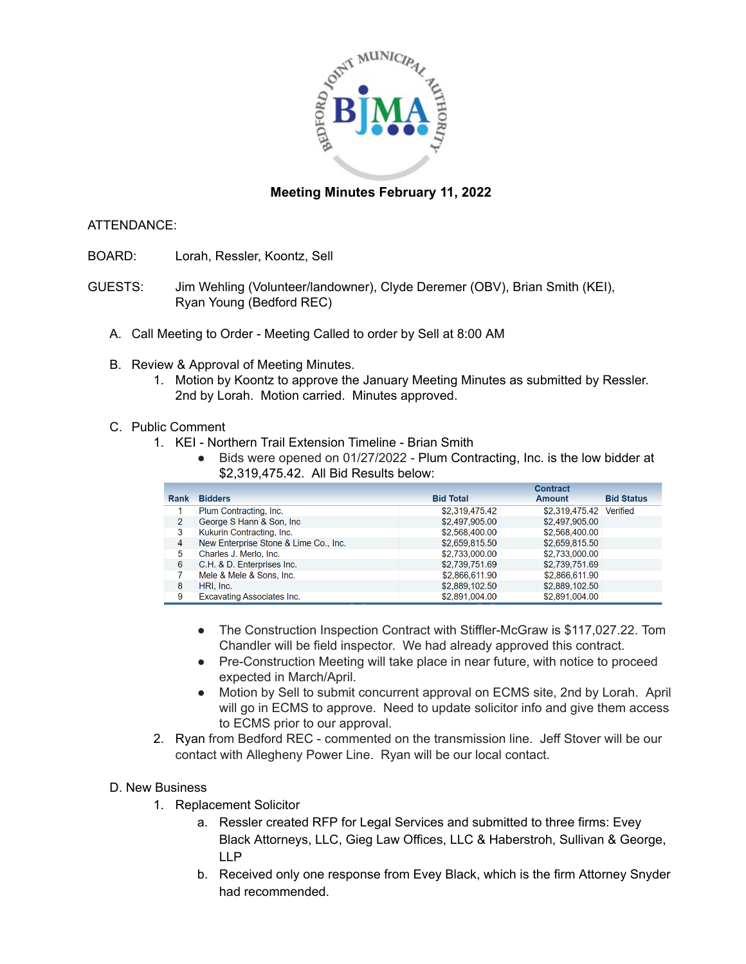

## **Meeting Minutes February 11, 2022**

#### ATTENDANCE:

- BOARD: Lorah, Ressler, Koontz, Sell
- GUESTS: Jim Wehling (Volunteer/landowner), Clyde Deremer (OBV), Brian Smith (KEI), Ryan Young (Bedford REC)
	- A. Call Meeting to Order Meeting Called to order by Sell at 8:00 AM
	- B. Review & Approval of Meeting Minutes.
		- 1. Motion by Koontz to approve the January Meeting Minutes as submitted by Ressler. 2nd by Lorah. Motion carried. Minutes approved.

#### C. Public Comment

- 1. KEI Northern Trail Extension Timeline Brian Smith
	- Bids were opened on 01/27/2022 Plum Contracting, Inc. is the low bidder at \$2,319,475.42. All Bid Results below:

|                |                                       | <b>Contract</b>  |                         |                   |
|----------------|---------------------------------------|------------------|-------------------------|-------------------|
| Rank           | <b>Bidders</b>                        | <b>Bid Total</b> | <b>Amount</b>           | <b>Bid Status</b> |
|                | Plum Contracting, Inc.                | \$2,319,475.42   | \$2,319,475.42 Verified |                   |
| $\overline{2}$ | George S Hann & Son, Inc.             | \$2,497,905.00   | \$2,497,905.00          |                   |
| 3              | Kukurin Contracting, Inc.             | \$2,568,400.00   | \$2,568,400.00          |                   |
| $\overline{4}$ | New Enterprise Stone & Lime Co., Inc. | \$2,659,815.50   | \$2,659,815,50          |                   |
| 5              | Charles J. Merlo, Inc.                | \$2,733,000.00   | \$2,733,000.00          |                   |
| 6              | C.H. & D. Enterprises Inc.            | \$2,739,751.69   | \$2,739,751.69          |                   |
|                | Mele & Mele & Sons, Inc.              | \$2,866,611.90   | \$2,866,611.90          |                   |
| 8              | HRI, Inc.                             | \$2,889,102.50   | \$2,889,102.50          |                   |
| 9              | <b>Excavating Associates Inc.</b>     | \$2,891,004.00   | \$2,891,004.00          |                   |

- The Construction Inspection Contract with Stiffler-McGraw is \$117,027.22. Tom Chandler will be field inspector. We had already approved this contract.
- Pre-Construction Meeting will take place in near future, with notice to proceed expected in March/April.
- Motion by Sell to submit concurrent approval on ECMS site, 2nd by Lorah. April will go in ECMS to approve. Need to update solicitor info and give them access to ECMS prior to our approval.
- 2. Ryan from Bedford REC commented on the transmission line. Jeff Stover will be our contact with Allegheny Power Line. Ryan will be our local contact.

### D. New Business

- 1. Replacement Solicitor
	- a. Ressler created RFP for Legal Services and submitted to three firms: Evey Black Attorneys, LLC, Gieg Law Offices, LLC & Haberstroh, Sullivan & George, LLP
	- b. Received only one response from Evey Black, which is the firm Attorney Snyder had recommended.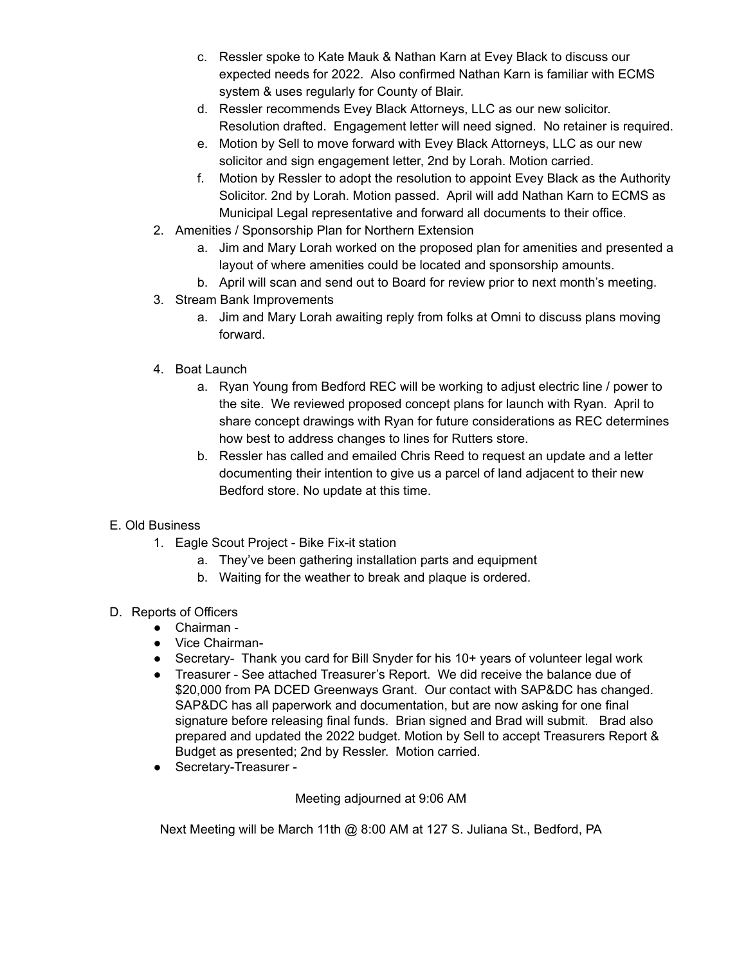- c. Ressler spoke to Kate Mauk & Nathan Karn at Evey Black to discuss our expected needs for 2022. Also confirmed Nathan Karn is familiar with ECMS system & uses regularly for County of Blair.
- d. Ressler recommends Evey Black Attorneys, LLC as our new solicitor. Resolution drafted. Engagement letter will need signed. No retainer is required.
- e. Motion by Sell to move forward with Evey Black Attorneys, LLC as our new solicitor and sign engagement letter, 2nd by Lorah. Motion carried.
- f. Motion by Ressler to adopt the resolution to appoint Evey Black as the Authority Solicitor. 2nd by Lorah. Motion passed. April will add Nathan Karn to ECMS as Municipal Legal representative and forward all documents to their office.
- 2. Amenities / Sponsorship Plan for Northern Extension
	- a. Jim and Mary Lorah worked on the proposed plan for amenities and presented a layout of where amenities could be located and sponsorship amounts.
	- b. April will scan and send out to Board for review prior to next month's meeting.
- 3. Stream Bank Improvements
	- a. Jim and Mary Lorah awaiting reply from folks at Omni to discuss plans moving forward.
- 4. Boat Launch
	- a. Ryan Young from Bedford REC will be working to adjust electric line / power to the site. We reviewed proposed concept plans for launch with Ryan. April to share concept drawings with Ryan for future considerations as REC determines how best to address changes to lines for Rutters store.
	- b. Ressler has called and emailed Chris Reed to request an update and a letter documenting their intention to give us a parcel of land adjacent to their new Bedford store. No update at this time.

# E. Old Business

- 1. Eagle Scout Project Bike Fix-it station
	- a. They've been gathering installation parts and equipment
	- b. Waiting for the weather to break and plaque is ordered.

### D. Reports of Officers

- Chairman -
- Vice Chairman-
- Secretary- Thank you card for Bill Snyder for his 10+ years of volunteer legal work
- Treasurer See attached Treasurer's Report. We did receive the balance due of \$20,000 from PA DCED Greenways Grant. Our contact with SAP&DC has changed. SAP&DC has all paperwork and documentation, but are now asking for one final signature before releasing final funds. Brian signed and Brad will submit. Brad also prepared and updated the 2022 budget. Motion by Sell to accept Treasurers Report & Budget as presented; 2nd by Ressler. Motion carried.
- Secretary-Treasurer -

Meeting adjourned at 9:06 AM

Next Meeting will be March 11th @ 8:00 AM at 127 S. Juliana St., Bedford, PA